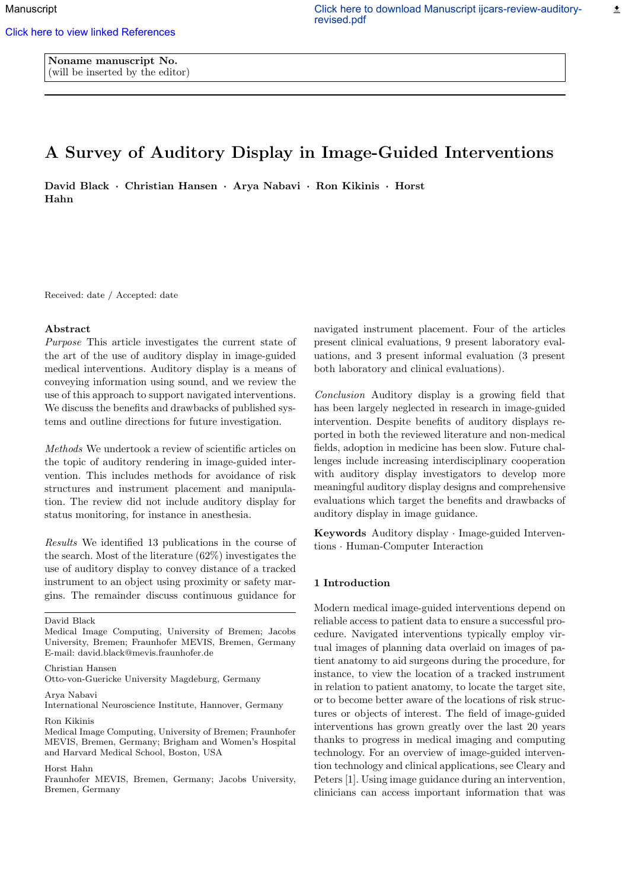Noname manuscript No. (will be inserted by the editor)

# A Survey of Auditory Display in Image-Guided Interventions

David Black *·* Christian Hansen *·* Arya Nabavi *·* Ron Kikinis *·* Horst Hahn

Received: date / Accepted: date

### Abstract

*Purpose* This article investigates the current state of the art of the use of auditory display in image-guided medical interventions. Auditory display is a means of conveying information using sound, and we review the use of this approach to support navigated interventions. We discuss the benefits and drawbacks of published systems and outline directions for future investigation.

*Methods* We undertook a review of scientific articles on the topic of auditory rendering in image-guided intervention. This includes methods for avoidance of risk structures and instrument placement and manipulation. The review did not include auditory display for status monitoring, for instance in anesthesia.

*Results* We identified 13 publications in the course of the search. Most of the literature (62%) investigates the use of auditory display to convey distance of a tracked instrument to an object using proximity or safety margins. The remainder discuss continuous guidance for

David Black

Medical Image Computing, University of Bremen; Jacobs University, Bremen; Fraunhofer MEVIS, Bremen, Germany E-mail: david.black@mevis.fraunhofer.de

Christian Hansen

Otto-von-Guericke University Magdeburg, Germany

Arya Nabavi

International Neuroscience Institute, Hannover, Germany

Ron Kikinis

Medical Image Computing, University of Bremen; Fraunhofer MEVIS, Bremen, Germany; Brigham and Women's Hospital and Harvard Medical School, Boston, USA

## Horst Hahn

Fraunhofer MEVIS, Bremen, Germany; Jacobs University, Bremen, Germany

navigated instrument placement. Four of the articles present clinical evaluations, 9 present laboratory evaluations, and 3 present informal evaluation (3 present both laboratory and clinical evaluations).

*Conclusion* Auditory display is a growing field that has been largely neglected in research in image-guided intervention. Despite benefits of auditory displays reported in both the reviewed literature and non-medical fields, adoption in medicine has been slow. Future challenges include increasing interdisciplinary cooperation with auditory display investigators to develop more meaningful auditory display designs and comprehensive evaluations which target the benefits and drawbacks of auditory display in image guidance.

Keywords Auditory display *·* Image-guided Interventions *·* Human-Computer Interaction

## 1 Introduction

Modern medical image-guided interventions depend on reliable access to patient data to ensure a successful procedure. Navigated interventions typically employ virtual images of planning data overlaid on images of patient anatomy to aid surgeons during the procedure, for instance, to view the location of a tracked instrument in relation to patient anatomy, to locate the target site, or to become better aware of the locations of risk structures or objects of interest. The field of image-guided interventions has grown greatly over the last 20 years thanks to progress in medical imaging and computing technology. For an overview of image-guided intervention technology and clinical applications, see Cleary and Peters [1]. Using image guidance during an intervention, clinicians can access important information that was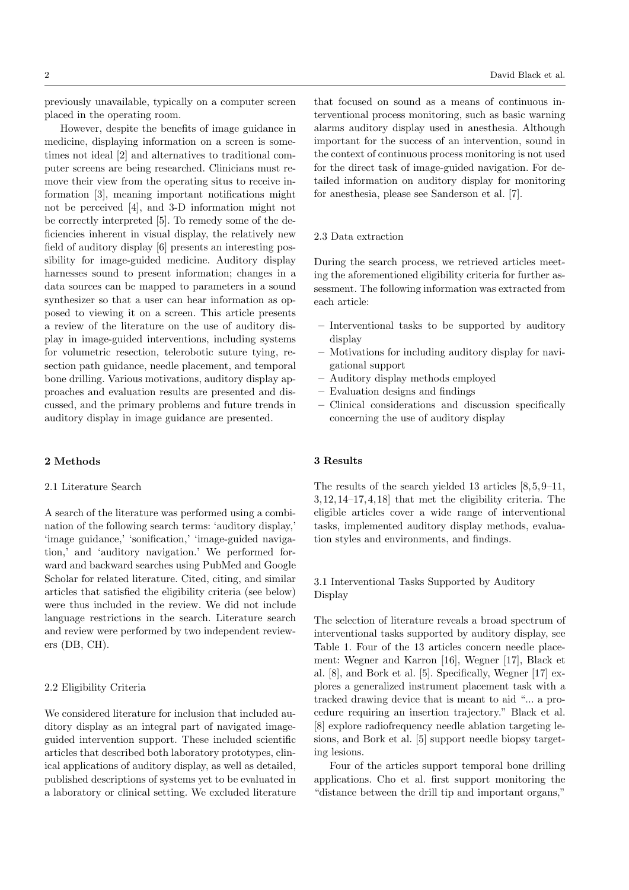previously unavailable, typically on a computer screen placed in the operating room.

However, despite the benefits of image guidance in medicine, displaying information on a screen is sometimes not ideal [2] and alternatives to traditional computer screens are being researched. Clinicians must remove their view from the operating situs to receive information [3], meaning important notifications might not be perceived [4], and 3-D information might not be correctly interpreted [5]. To remedy some of the deficiencies inherent in visual display, the relatively new field of auditory display [6] presents an interesting possibility for image-guided medicine. Auditory display harnesses sound to present information; changes in a data sources can be mapped to parameters in a sound synthesizer so that a user can hear information as opposed to viewing it on a screen. This article presents a review of the literature on the use of auditory display in image-guided interventions, including systems for volumetric resection, telerobotic suture tying, resection path guidance, needle placement, and temporal bone drilling. Various motivations, auditory display approaches and evaluation results are presented and discussed, and the primary problems and future trends in auditory display in image guidance are presented.

#### 2 Methods

# 2.1 Literature Search

A search of the literature was performed using a combination of the following search terms: 'auditory display,' 'image guidance,' 'sonification,' 'image-guided navigation,' and 'auditory navigation.' We performed forward and backward searches using PubMed and Google Scholar for related literature. Cited, citing, and similar articles that satisfied the eligibility criteria (see below) were thus included in the review. We did not include language restrictions in the search. Literature search and review were performed by two independent reviewers (DB, CH).

## 2.2 Eligibility Criteria

We considered literature for inclusion that included auditory display as an integral part of navigated imageguided intervention support. These included scientific articles that described both laboratory prototypes, clinical applications of auditory display, as well as detailed, published descriptions of systems yet to be evaluated in a laboratory or clinical setting. We excluded literature

that focused on sound as a means of continuous interventional process monitoring, such as basic warning alarms auditory display used in anesthesia. Although important for the success of an intervention, sound in the context of continuous process monitoring is not used for the direct task of image-guided navigation. For detailed information on auditory display for monitoring for anesthesia, please see Sanderson et al. [7].

#### 2.3 Data extraction

During the search process, we retrieved articles meeting the aforementioned eligibility criteria for further assessment. The following information was extracted from each article:

- Interventional tasks to be supported by auditory display
- Motivations for including auditory display for navigational support
- Auditory display methods employed
- Evaluation designs and findings
- Clinical considerations and discussion specifically concerning the use of auditory display

# 3 Results

The results of the search yielded 13 articles [8, 5, 9–11, 3, 12, 14–17, 4, 18] that met the eligibility criteria. The eligible articles cover a wide range of interventional tasks, implemented auditory display methods, evaluation styles and environments, and findings.

# 3.1 Interventional Tasks Supported by Auditory Display

The selection of literature reveals a broad spectrum of interventional tasks supported by auditory display, see Table 1. Four of the 13 articles concern needle placement: Wegner and Karron [16], Wegner [17], Black et al. [8], and Bork et al. [5]. Specifically, Wegner [17] explores a generalized instrument placement task with a tracked drawing device that is meant to aid "... a procedure requiring an insertion trajectory." Black et al. [8] explore radiofrequency needle ablation targeting lesions, and Bork et al. [5] support needle biopsy targeting lesions.

Four of the articles support temporal bone drilling applications. Cho et al. first support monitoring the "distance between the drill tip and important organs,"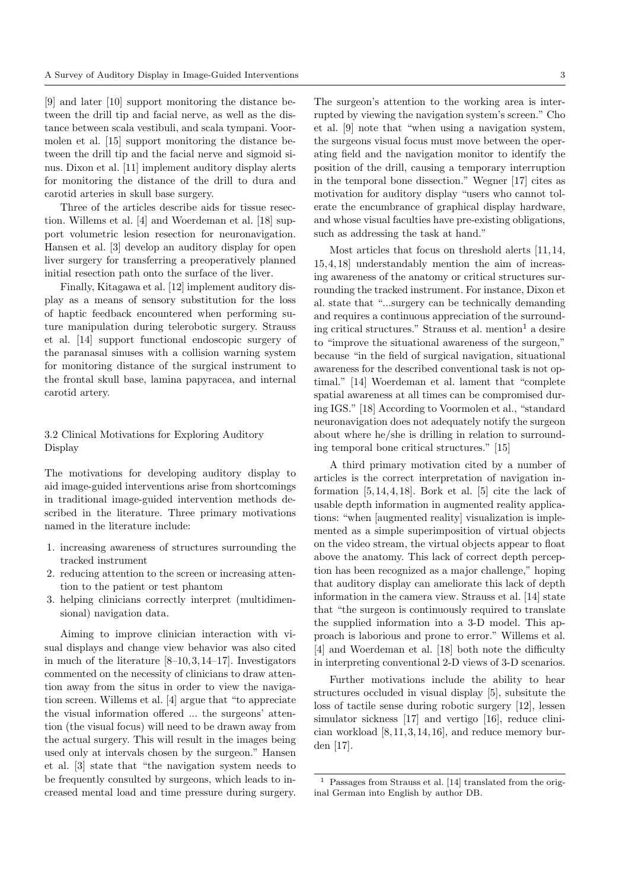[9] and later [10] support monitoring the distance between the drill tip and facial nerve, as well as the distance between scala vestibuli, and scala tympani. Voormolen et al. [15] support monitoring the distance between the drill tip and the facial nerve and sigmoid sinus. Dixon et al. [11] implement auditory display alerts for monitoring the distance of the drill to dura and carotid arteries in skull base surgery.

Three of the articles describe aids for tissue resection. Willems et al. [4] and Woerdeman et al. [18] support volumetric lesion resection for neuronavigation. Hansen et al. [3] develop an auditory display for open liver surgery for transferring a preoperatively planned initial resection path onto the surface of the liver.

Finally, Kitagawa et al. [12] implement auditory display as a means of sensory substitution for the loss of haptic feedback encountered when performing suture manipulation during telerobotic surgery. Strauss et al. [14] support functional endoscopic surgery of the paranasal sinuses with a collision warning system for monitoring distance of the surgical instrument to the frontal skull base, lamina papyracea, and internal carotid artery.

# 3.2 Clinical Motivations for Exploring Auditory Display

The motivations for developing auditory display to aid image-guided interventions arise from shortcomings in traditional image-guided intervention methods described in the literature. Three primary motivations named in the literature include:

- 1. increasing awareness of structures surrounding the tracked instrument
- 2. reducing attention to the screen or increasing attention to the patient or test phantom
- 3. helping clinicians correctly interpret (multidimensional) navigation data.

Aiming to improve clinician interaction with visual displays and change view behavior was also cited in much of the literature  $[8-10, 3, 14-17]$ . Investigators commented on the necessity of clinicians to draw attention away from the situs in order to view the navigation screen. Willems et al. [4] argue that "to appreciate the visual information offered ... the surgeons' attention (the visual focus) will need to be drawn away from the actual surgery. This will result in the images being used only at intervals chosen by the surgeon." Hansen et al. [3] state that "the navigation system needs to be frequently consulted by surgeons, which leads to increased mental load and time pressure during surgery.

The surgeon's attention to the working area is interrupted by viewing the navigation system's screen." Cho et al. [9] note that "when using a navigation system, the surgeons visual focus must move between the operating field and the navigation monitor to identify the position of the drill, causing a temporary interruption in the temporal bone dissection." Wegner [17] cites as motivation for auditory display "users who cannot tolerate the encumbrance of graphical display hardware, and whose visual faculties have pre-existing obligations, such as addressing the task at hand."

Most articles that focus on threshold alerts [11, 14, 15, 4, 18] understandably mention the aim of increasing awareness of the anatomy or critical structures surrounding the tracked instrument. For instance, Dixon et al. state that "...surgery can be technically demanding and requires a continuous appreciation of the surrounding critical structures." Strauss et al. mention<sup>1</sup> a desire to "improve the situational awareness of the surgeon," because "in the field of surgical navigation, situational awareness for the described conventional task is not optimal." [14] Woerdeman et al. lament that "complete spatial awareness at all times can be compromised during IGS." [18] According to Voormolen et al., "standard neuronavigation does not adequately notify the surgeon about where he/she is drilling in relation to surrounding temporal bone critical structures." [15]

A third primary motivation cited by a number of articles is the correct interpretation of navigation information  $[5, 14, 4, 18]$ . Bork et al.  $[5]$  cite the lack of usable depth information in augmented reality applications: "when [augmented reality] visualization is implemented as a simple superimposition of virtual objects on the video stream, the virtual objects appear to float above the anatomy. This lack of correct depth perception has been recognized as a major challenge," hoping that auditory display can ameliorate this lack of depth information in the camera view. Strauss et al. [14] state that "the surgeon is continuously required to translate the supplied information into a 3-D model. This approach is laborious and prone to error." Willems et al. [4] and Woerdeman et al. [18] both note the difficulty in interpreting conventional 2-D views of 3-D scenarios.

Further motivations include the ability to hear structures occluded in visual display [5], subsitute the loss of tactile sense during robotic surgery [12], lessen simulator sickness [17] and vertigo [16], reduce clinician workload  $[8, 11, 3, 14, 16]$ , and reduce memory burden [17].

<sup>1</sup> Passages from Strauss et al. [14] translated from the original German into English by author DB.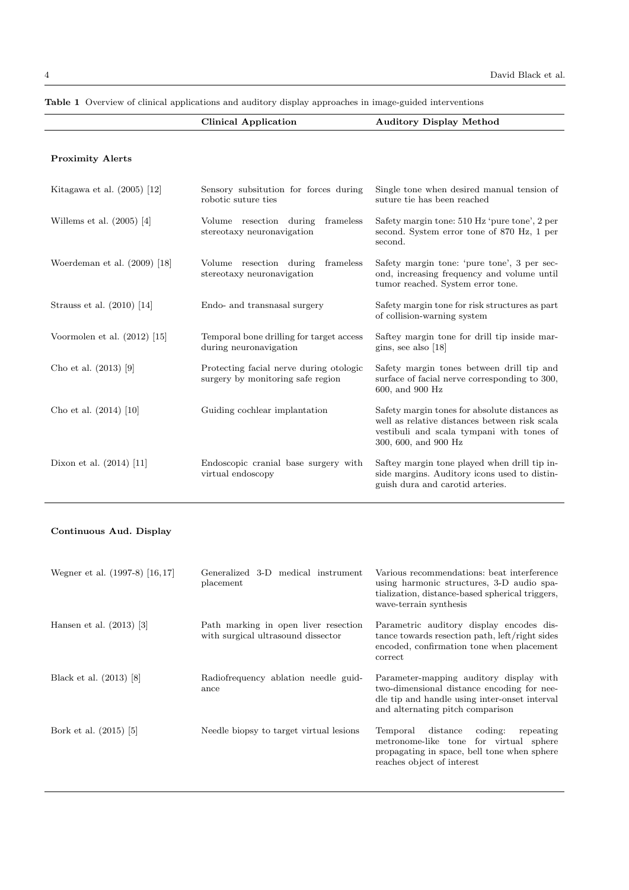|                                | <b>Clinical Application</b>                                                  | <b>Auditory Display Method</b>                                                                                                                                      |  |  |
|--------------------------------|------------------------------------------------------------------------------|---------------------------------------------------------------------------------------------------------------------------------------------------------------------|--|--|
|                                |                                                                              |                                                                                                                                                                     |  |  |
| <b>Proximity Alerts</b>        |                                                                              |                                                                                                                                                                     |  |  |
|                                |                                                                              |                                                                                                                                                                     |  |  |
| Kitagawa et al. $(2005)$ [12]  | Sensory subsitution for forces during<br>robotic suture ties                 | Single tone when desired manual tension of<br>suture tie has been reached                                                                                           |  |  |
| Willems et al. $(2005)$ [4]    | Volume resection during<br>frameless<br>stereotaxy neuronavigation           | Safety margin tone: 510 Hz 'pure tone', 2 per<br>second. System error tone of 870 Hz, 1 per<br>second.                                                              |  |  |
| Woerdeman et al. $(2009)$ [18] | Volume resection during<br>frameless<br>stereotaxy neuronavigation           | Safety margin tone: 'pure tone', 3 per sec-<br>ond, increasing frequency and volume until<br>tumor reached. System error tone.                                      |  |  |
| Strauss et al. $(2010)$ [14]   | Endo- and transnasal surgery                                                 | Safety margin tone for risk structures as part<br>of collision-warning system                                                                                       |  |  |
| Voormolen et al. $(2012)$ [15] | Temporal bone drilling for target access<br>during neuronavigation           | Saftey margin tone for drill tip inside mar-<br>gins, see also $[18]$                                                                                               |  |  |
| Cho et al. $(2013)$ [9]        | Protecting facial nerve during otologic<br>surgery by monitoring safe region | Safety margin tones between drill tip and<br>surface of facial nerve corresponding to 300,<br>600, and 900 Hz                                                       |  |  |
| Cho et al. $(2014)$ [10]       | Guiding cochlear implantation                                                | Safety margin tones for absolute distances as<br>well as relative distances between risk scala<br>vestibuli and scala tympani with tones of<br>300, 600, and 900 Hz |  |  |
| Dixon et al. $(2014)$ [11]     | Endoscopic cranial base surgery with<br>virtual endoscopy                    | Saftey margin tone played when drill tip in-<br>side margins. Auditory icons used to distin-<br>guish dura and carotid arteries.                                    |  |  |

Table 1 Overview of clinical applications and auditory display approaches in image-guided interventions

# Continuous Aud. Display

| Wegner et al. (1997-8) [16,17] | Generalized 3-D medical instrument<br>placement                            | Various recommendations: beat interference<br>using harmonic structures, 3-D audio spa-<br>tialization, distance-based spherical triggers,<br>wave-terrain synthesis       |
|--------------------------------|----------------------------------------------------------------------------|----------------------------------------------------------------------------------------------------------------------------------------------------------------------------|
| Hansen et al. $(2013)$ [3]     | Path marking in open liver resection<br>with surgical ultrasound dissector | Parametric auditory display encodes dis-<br>tance towards resection path, left/right sides<br>encoded, confirmation tone when placement<br>correct                         |
| Black et al. (2013) [8]        | Radiofrequency ablation needle guid-<br>ance                               | Parameter-mapping auditory display with<br>two-dimensional distance encoding for nee-<br>dle tip and handle using inter-onset interval<br>and alternating pitch comparison |
| Bork et al. (2015) [5]         | Needle biopsy to target virtual lesions                                    | distance<br>coding:<br>Temporal<br>repeating<br>metronome-like tone for virtual sphere<br>propagating in space, bell tone when sphere<br>reaches object of interest        |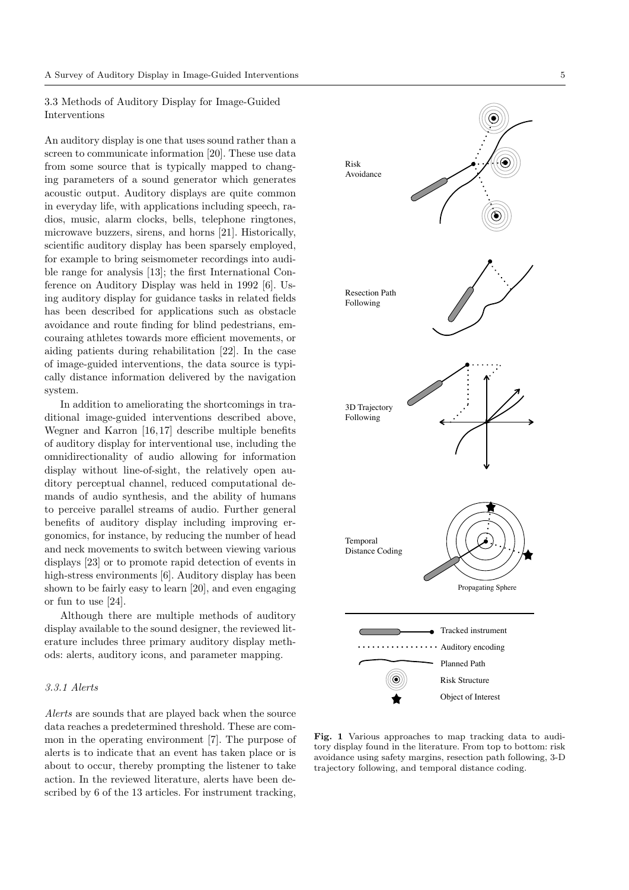3.3 Methods of Auditory Display for Image-Guided Interventions

An auditory display is one that uses sound rather than a screen to communicate information [20]. These use data from some source that is typically mapped to changing parameters of a sound generator which generates acoustic output. Auditory displays are quite common in everyday life, with applications including speech, radios, music, alarm clocks, bells, telephone ringtones, microwave buzzers, sirens, and horns [21]. Historically, scientific auditory display has been sparsely employed, for example to bring seismometer recordings into audible range for analysis [13]; the first International Conference on Auditory Display was held in 1992 [6]. Using auditory display for guidance tasks in related fields has been described for applications such as obstacle avoidance and route finding for blind pedestrians, emcouraing athletes towards more efficient movements, or aiding patients during rehabilitation [22]. In the case of image-guided interventions, the data source is typically distance information delivered by the navigation system.

In addition to ameliorating the shortcomings in traditional image-guided interventions described above, Wegner and Karron [16, 17] describe multiple benefits of auditory display for interventional use, including the omnidirectionality of audio allowing for information display without line-of-sight, the relatively open auditory perceptual channel, reduced computational demands of audio synthesis, and the ability of humans to perceive parallel streams of audio. Further general benefits of auditory display including improving ergonomics, for instance, by reducing the number of head and neck movements to switch between viewing various displays [23] or to promote rapid detection of events in high-stress environments [6]. Auditory display has been shown to be fairly easy to learn [20], and even engaging or fun to use [24].

Although there are multiple methods of auditory display available to the sound designer, the reviewed literature includes three primary auditory display methods: alerts, auditory icons, and parameter mapping.

# *3.3.1 Alerts*

*Alerts* are sounds that are played back when the source data reaches a predetermined threshold. These are common in the operating environment [7]. The purpose of alerts is to indicate that an event has taken place or is about to occur, thereby prompting the listener to take action. In the reviewed literature, alerts have been described by 6 of the 13 articles. For instrument tracking,



Fig. 1 Various approaches to map tracking data to auditory display found in the literature. From top to bottom: risk avoidance using safety margins, resection path following, 3-D trajectory following, and temporal distance coding.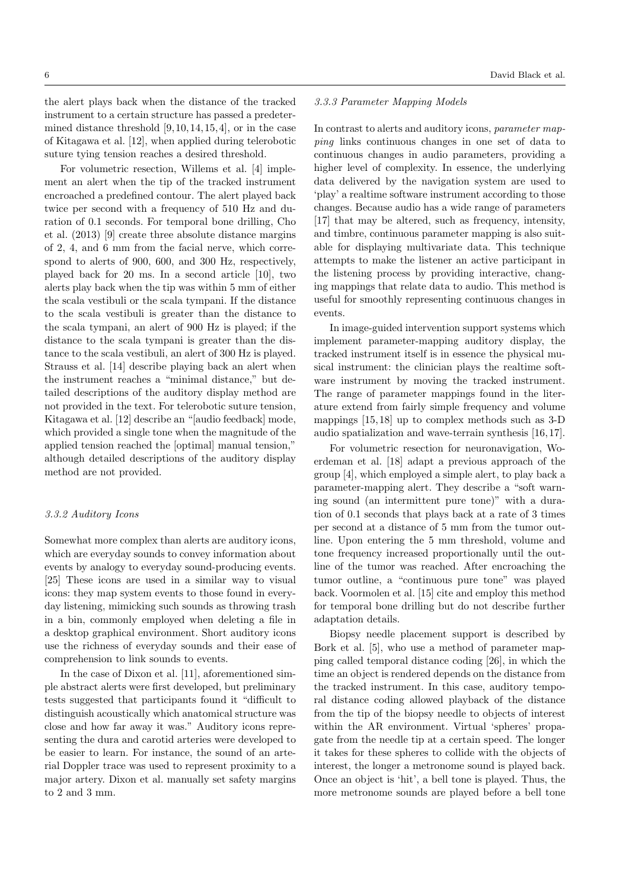the alert plays back when the distance of the tracked instrument to a certain structure has passed a predetermined distance threshold  $[9, 10, 14, 15, 4]$ , or in the case of Kitagawa et al. [12], when applied during telerobotic suture tying tension reaches a desired threshold.

For volumetric resection, Willems et al. [4] implement an alert when the tip of the tracked instrument encroached a predefined contour. The alert played back twice per second with a frequency of 510 Hz and duration of 0.1 seconds. For temporal bone drilling, Cho et al. (2013) [9] create three absolute distance margins of 2, 4, and 6 mm from the facial nerve, which correspond to alerts of 900, 600, and 300 Hz, respectively, played back for 20 ms. In a second article [10], two alerts play back when the tip was within 5 mm of either the scala vestibuli or the scala tympani. If the distance to the scala vestibuli is greater than the distance to the scala tympani, an alert of 900 Hz is played; if the distance to the scala tympani is greater than the distance to the scala vestibuli, an alert of 300 Hz is played. Strauss et al. [14] describe playing back an alert when the instrument reaches a "minimal distance," but detailed descriptions of the auditory display method are not provided in the text. For telerobotic suture tension, Kitagawa et al. [12] describe an "[audio feedback] mode, which provided a single tone when the magnitude of the applied tension reached the [optimal] manual tension," although detailed descriptions of the auditory display method are not provided.

#### *3.3.2 Auditory Icons*

Somewhat more complex than alerts are auditory icons, which are everyday sounds to convey information about events by analogy to everyday sound-producing events. [25] These icons are used in a similar way to visual icons: they map system events to those found in everyday listening, mimicking such sounds as throwing trash in a bin, commonly employed when deleting a file in a desktop graphical environment. Short auditory icons use the richness of everyday sounds and their ease of comprehension to link sounds to events.

In the case of Dixon et al. [11], aforementioned simple abstract alerts were first developed, but preliminary tests suggested that participants found it "difficult to distinguish acoustically which anatomical structure was close and how far away it was." Auditory icons representing the dura and carotid arteries were developed to be easier to learn. For instance, the sound of an arterial Doppler trace was used to represent proximity to a major artery. Dixon et al. manually set safety margins to 2 and 3 mm.

#### *3.3.3 Parameter Mapping Models*

In contrast to alerts and auditory icons, *parameter mapping* links continuous changes in one set of data to continuous changes in audio parameters, providing a higher level of complexity. In essence, the underlying data delivered by the navigation system are used to 'play' a realtime software instrument according to those changes. Because audio has a wide range of parameters [17] that may be altered, such as frequency, intensity, and timbre, continuous parameter mapping is also suitable for displaying multivariate data. This technique attempts to make the listener an active participant in the listening process by providing interactive, changing mappings that relate data to audio. This method is useful for smoothly representing continuous changes in events.

In image-guided intervention support systems which implement parameter-mapping auditory display, the tracked instrument itself is in essence the physical musical instrument: the clinician plays the realtime software instrument by moving the tracked instrument. The range of parameter mappings found in the literature extend from fairly simple frequency and volume mappings [15, 18] up to complex methods such as 3-D audio spatialization and wave-terrain synthesis [16, 17].

For volumetric resection for neuronavigation, Woerdeman et al. [18] adapt a previous approach of the group [4], which employed a simple alert, to play back a parameter-mapping alert. They describe a "soft warning sound (an intermittent pure tone)" with a duration of 0.1 seconds that plays back at a rate of 3 times per second at a distance of 5 mm from the tumor outline. Upon entering the 5 mm threshold, volume and tone frequency increased proportionally until the outline of the tumor was reached. After encroaching the tumor outline, a "continuous pure tone" was played back. Voormolen et al. [15] cite and employ this method for temporal bone drilling but do not describe further adaptation details.

Biopsy needle placement support is described by Bork et al. [5], who use a method of parameter mapping called temporal distance coding [26], in which the time an object is rendered depends on the distance from the tracked instrument. In this case, auditory temporal distance coding allowed playback of the distance from the tip of the biopsy needle to objects of interest within the AR environment. Virtual 'spheres' propagate from the needle tip at a certain speed. The longer it takes for these spheres to collide with the objects of interest, the longer a metronome sound is played back. Once an object is 'hit', a bell tone is played. Thus, the more metronome sounds are played before a bell tone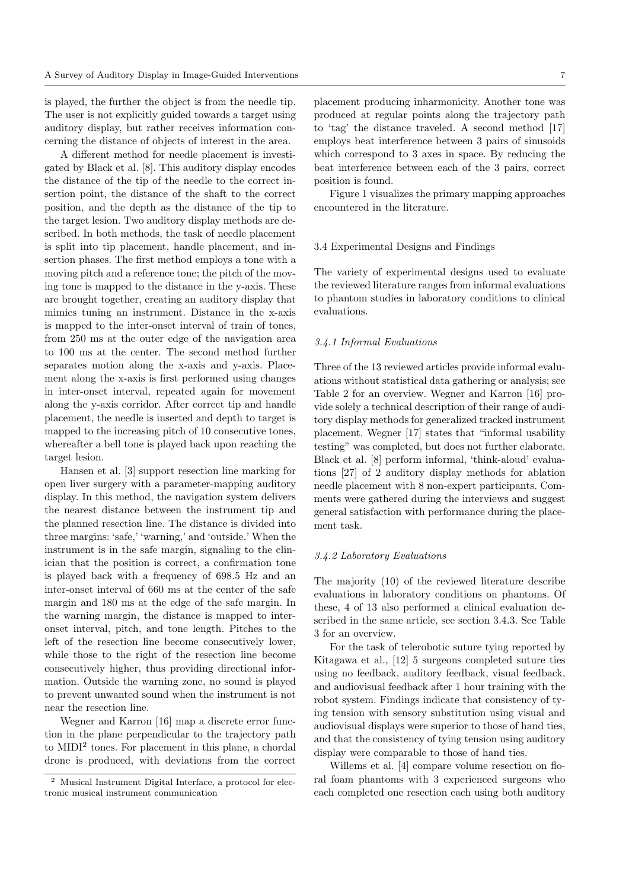is played, the further the object is from the needle tip. The user is not explicitly guided towards a target using auditory display, but rather receives information concerning the distance of objects of interest in the area.

A different method for needle placement is investigated by Black et al. [8]. This auditory display encodes the distance of the tip of the needle to the correct insertion point, the distance of the shaft to the correct position, and the depth as the distance of the tip to the target lesion. Two auditory display methods are described. In both methods, the task of needle placement is split into tip placement, handle placement, and insertion phases. The first method employs a tone with a moving pitch and a reference tone; the pitch of the moving tone is mapped to the distance in the y-axis. These are brought together, creating an auditory display that mimics tuning an instrument. Distance in the x-axis is mapped to the inter-onset interval of train of tones, from 250 ms at the outer edge of the navigation area to 100 ms at the center. The second method further separates motion along the x-axis and y-axis. Placement along the x-axis is first performed using changes in inter-onset interval, repeated again for movement along the y-axis corridor. After correct tip and handle placement, the needle is inserted and depth to target is mapped to the increasing pitch of 10 consecutive tones, whereafter a bell tone is played back upon reaching the target lesion.

Hansen et al. [3] support resection line marking for open liver surgery with a parameter-mapping auditory display. In this method, the navigation system delivers the nearest distance between the instrument tip and the planned resection line. The distance is divided into three margins: 'safe,' 'warning,' and 'outside.' When the instrument is in the safe margin, signaling to the clinician that the position is correct, a confirmation tone is played back with a frequency of 698.5 Hz and an inter-onset interval of 660 ms at the center of the safe margin and 180 ms at the edge of the safe margin. In the warning margin, the distance is mapped to interonset interval, pitch, and tone length. Pitches to the left of the resection line become consecutively lower, while those to the right of the resection line become consecutively higher, thus providing directional information. Outside the warning zone, no sound is played to prevent unwanted sound when the instrument is not near the resection line.

Wegner and Karron [16] map a discrete error function in the plane perpendicular to the trajectory path to MIDI<sup>2</sup> tones. For placement in this plane, a chordal drone is produced, with deviations from the correct

placement producing inharmonicity. Another tone was produced at regular points along the trajectory path to 'tag' the distance traveled. A second method [17] employs beat interference between 3 pairs of sinusoids which correspond to 3 axes in space. By reducing the beat interference between each of the 3 pairs, correct position is found.

Figure 1 visualizes the primary mapping approaches encountered in the literature.

#### 3.4 Experimental Designs and Findings

The variety of experimental designs used to evaluate the reviewed literature ranges from informal evaluations to phantom studies in laboratory conditions to clinical evaluations.

### *3.4.1 Informal Evaluations*

Three of the 13 reviewed articles provide informal evaluations without statistical data gathering or analysis; see Table 2 for an overview. Wegner and Karron [16] provide solely a technical description of their range of auditory display methods for generalized tracked instrument placement. Wegner [17] states that "informal usability testing" was completed, but does not further elaborate. Black et al. [8] perform informal, 'think-aloud' evaluations [27] of 2 auditory display methods for ablation needle placement with 8 non-expert participants. Comments were gathered during the interviews and suggest general satisfaction with performance during the placement task.

#### *3.4.2 Laboratory Evaluations*

The majority (10) of the reviewed literature describe evaluations in laboratory conditions on phantoms. Of these, 4 of 13 also performed a clinical evaluation described in the same article, see section 3.4.3. See Table 3 for an overview.

For the task of telerobotic suture tying reported by Kitagawa et al., [12] 5 surgeons completed suture ties using no feedback, auditory feedback, visual feedback, and audiovisual feedback after 1 hour training with the robot system. Findings indicate that consistency of tying tension with sensory substitution using visual and audiovisual displays were superior to those of hand ties, and that the consistency of tying tension using auditory display were comparable to those of hand ties.

Willems et al. [4] compare volume resection on floral foam phantoms with 3 experienced surgeons who each completed one resection each using both auditory

<sup>2</sup> Musical Instrument Digital Interface, a protocol for electronic musical instrument communication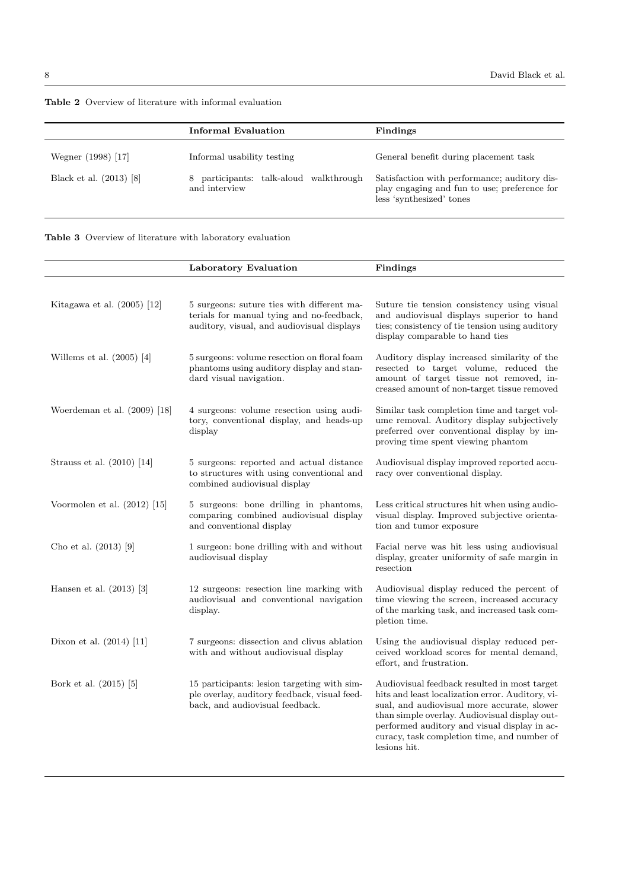|                         | Informal Evaluation                                   | Findings                                                                                                                 |  |  |
|-------------------------|-------------------------------------------------------|--------------------------------------------------------------------------------------------------------------------------|--|--|
| Wegner (1998) [17]      | Informal usability testing                            | General benefit during placement task                                                                                    |  |  |
| Black et al. (2013) [8] | participants: talk-aloud walkthrough<br>and interview | Satisfaction with performance; auditory dis-<br>play engaging and fun to use; preference for<br>less 'synthesized' tones |  |  |

|  |  |  |  | <b>Table 2</b> Overview of literature with informal evaluation |  |  |  |  |
|--|--|--|--|----------------------------------------------------------------|--|--|--|--|
|--|--|--|--|----------------------------------------------------------------|--|--|--|--|



|                                | Laboratory Evaluation                                                                                                                 | Findings                                                                                                                                                                                                                                                                                                        |
|--------------------------------|---------------------------------------------------------------------------------------------------------------------------------------|-----------------------------------------------------------------------------------------------------------------------------------------------------------------------------------------------------------------------------------------------------------------------------------------------------------------|
|                                |                                                                                                                                       |                                                                                                                                                                                                                                                                                                                 |
| Kitagawa et al. $(2005)$ [12]  | 5 surgeons: suture ties with different ma-<br>terials for manual tying and no-feedback,<br>auditory, visual, and audiovisual displays | Suture tie tension consistency using visual<br>and audiovisual displays superior to hand<br>ties; consistency of tie tension using auditory<br>display comparable to hand ties                                                                                                                                  |
| Willems et al. $(2005)$ [4]    | 5 surgeons: volume resection on floral foam<br>phantoms using auditory display and stan-<br>dard visual navigation.                   | Auditory display increased similarity of the<br>resected to target volume, reduced the<br>amount of target tissue not removed, in-<br>creased amount of non-target tissue removed                                                                                                                               |
| Woerdeman et al. $(2009)$ [18] | 4 surgeons: volume resection using audi-<br>tory, conventional display, and heads-up<br>display                                       | Similar task completion time and target vol-<br>ume removal. Auditory display subjectively<br>preferred over conventional display by im-<br>proving time spent viewing phantom                                                                                                                                  |
| Strauss et al. (2010) [14]     | 5 surgeons: reported and actual distance<br>to structures with using conventional and<br>combined audiovisual display                 | Audiovisual display improved reported accu-<br>racy over conventional display.                                                                                                                                                                                                                                  |
| Voormolen et al. $(2012)$ [15] | 5 surgeons: bone drilling in phantoms,<br>comparing combined audiovisual display<br>and conventional display                          | Less critical structures hit when using audio-<br>visual display. Improved subjective orienta-<br>tion and tumor exposure                                                                                                                                                                                       |
| Cho et al. $(2013)$ [9]        | 1 surgeon: bone drilling with and without<br>audiovisual display                                                                      | Facial nerve was hit less using audiovisual<br>display, greater uniformity of safe margin in<br>resection                                                                                                                                                                                                       |
| Hansen et al. $(2013)$ [3]     | 12 surgeons: resection line marking with<br>audiovisual and conventional navigation<br>display.                                       | Audiovisual display reduced the percent of<br>time viewing the screen, increased accuracy<br>of the marking task, and increased task com-<br>pletion time.                                                                                                                                                      |
| Dixon et al. $(2014)$ [11]     | 7 surgeons: dissection and clivus ablation<br>with and without audiovisual display                                                    | Using the audiovisual display reduced per-<br>ceived workload scores for mental demand,<br>effort, and frustration.                                                                                                                                                                                             |
| Bork et al. (2015) [5]         | 15 participants: lesion targeting with sim-<br>ple overlay, auditory feedback, visual feed-<br>back, and audiovisual feedback.        | Audiovisual feedback resulted in most target<br>hits and least localization error. Auditory, vi-<br>sual, and audiovisual more accurate, slower<br>than simple overlay. Audiovisual display out-<br>performed auditory and visual display in ac-<br>curacy, task completion time, and number of<br>lesions hit. |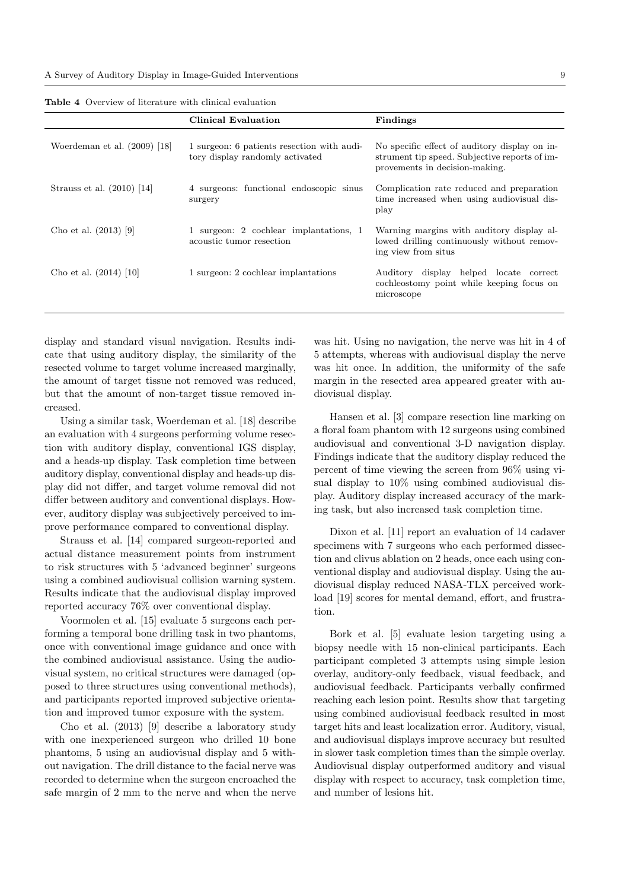|                                | Clinical Evaluation                                                           | Findings                                                                                                                         |
|--------------------------------|-------------------------------------------------------------------------------|----------------------------------------------------------------------------------------------------------------------------------|
| Woerdeman et al. $(2009)$ [18] | 1 surgeon: 6 patients resection with audi-<br>tory display randomly activated | No specific effect of auditory display on in-<br>strument tip speed. Subjective reports of im-<br>provements in decision-making. |
| Strauss et al. $(2010)$ [14]   | 4 surgeons: functional endoscopic sinus<br>surgery                            | Complication rate reduced and preparation<br>time increased when using audiovisual dis-<br>play                                  |
| Cho et al. $(2013)$ [9]        | 1 surgeon: 2 cochlear implantations, 1<br>acoustic tumor resection            | Warning margins with auditory display al-<br>lowed drilling continuously without remov-<br>ing view from situs                   |
| Cho et al. $(2014)$ [10]       | 1 surgeon: 2 cochlear implantations                                           | Auditory display helped locate correct<br>cochleostomy point while keeping focus on<br>microscope                                |

Table 4 Overview of literature with clinical evaluation

display and standard visual navigation. Results indicate that using auditory display, the similarity of the resected volume to target volume increased marginally, the amount of target tissue not removed was reduced, but that the amount of non-target tissue removed increased.

Using a similar task, Woerdeman et al. [18] describe an evaluation with 4 surgeons performing volume resection with auditory display, conventional IGS display, and a heads-up display. Task completion time between auditory display, conventional display and heads-up display did not differ, and target volume removal did not differ between auditory and conventional displays. However, auditory display was subjectively perceived to improve performance compared to conventional display.

Strauss et al. [14] compared surgeon-reported and actual distance measurement points from instrument to risk structures with 5 'advanced beginner' surgeons using a combined audiovisual collision warning system. Results indicate that the audiovisual display improved reported accuracy 76% over conventional display.

Voormolen et al. [15] evaluate 5 surgeons each performing a temporal bone drilling task in two phantoms, once with conventional image guidance and once with the combined audiovisual assistance. Using the audiovisual system, no critical structures were damaged (opposed to three structures using conventional methods), and participants reported improved subjective orientation and improved tumor exposure with the system.

Cho et al. (2013) [9] describe a laboratory study with one inexperienced surgeon who drilled 10 bone phantoms, 5 using an audiovisual display and 5 without navigation. The drill distance to the facial nerve was recorded to determine when the surgeon encroached the safe margin of 2 mm to the nerve and when the nerve was hit. Using no navigation, the nerve was hit in 4 of 5 attempts, whereas with audiovisual display the nerve was hit once. In addition, the uniformity of the safe margin in the resected area appeared greater with audiovisual display.

Hansen et al. [3] compare resection line marking on a floral foam phantom with 12 surgeons using combined audiovisual and conventional 3-D navigation display. Findings indicate that the auditory display reduced the percent of time viewing the screen from 96% using visual display to 10% using combined audiovisual display. Auditory display increased accuracy of the marking task, but also increased task completion time.

Dixon et al. [11] report an evaluation of 14 cadaver specimens with 7 surgeons who each performed dissection and clivus ablation on 2 heads, once each using conventional display and audiovisual display. Using the audiovisual display reduced NASA-TLX perceived workload [19] scores for mental demand, effort, and frustration.

Bork et al. [5] evaluate lesion targeting using a biopsy needle with 15 non-clinical participants. Each participant completed 3 attempts using simple lesion overlay, auditory-only feedback, visual feedback, and audiovisual feedback. Participants verbally confirmed reaching each lesion point. Results show that targeting using combined audiovisual feedback resulted in most target hits and least localization error. Auditory, visual, and audiovisual displays improve accuracy but resulted in slower task completion times than the simple overlay. Audiovisual display outperformed auditory and visual display with respect to accuracy, task completion time, and number of lesions hit.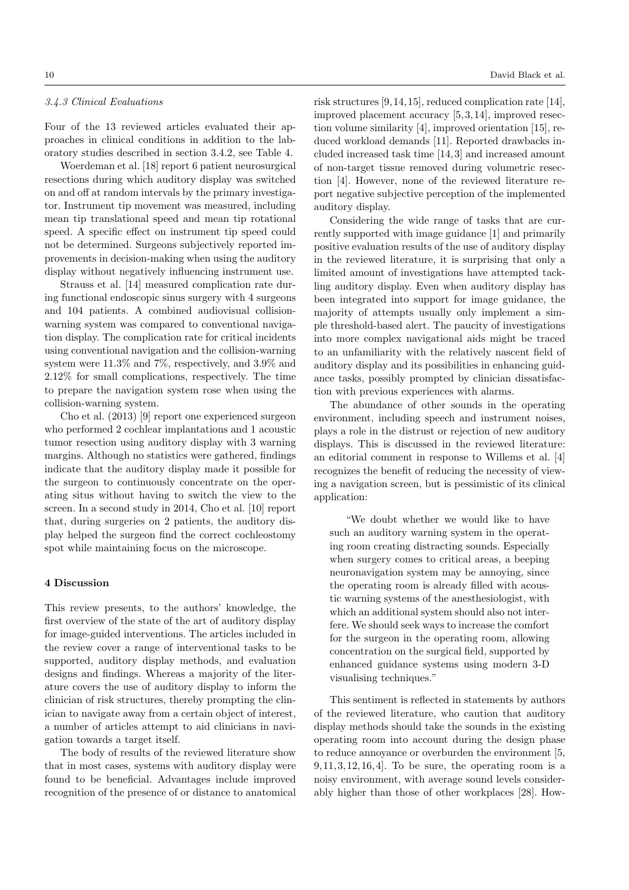## *3.4.3 Clinical Evaluations*

Four of the 13 reviewed articles evaluated their approaches in clinical conditions in addition to the laboratory studies described in section 3.4.2, see Table 4.

Woerdeman et al. [18] report 6 patient neurosurgical resections during which auditory display was switched on and off at random intervals by the primary investigator. Instrument tip movement was measured, including mean tip translational speed and mean tip rotational speed. A specific effect on instrument tip speed could not be determined. Surgeons subjectively reported improvements in decision-making when using the auditory display without negatively influencing instrument use.

Strauss et al. [14] measured complication rate during functional endoscopic sinus surgery with 4 surgeons and 104 patients. A combined audiovisual collisionwarning system was compared to conventional navigation display. The complication rate for critical incidents using conventional navigation and the collision-warning system were 11.3% and 7%, respectively, and 3.9% and 2.12% for small complications, respectively. The time to prepare the navigation system rose when using the collision-warning system.

Cho et al. (2013) [9] report one experienced surgeon who performed 2 cochlear implantations and 1 acoustic tumor resection using auditory display with 3 warning margins. Although no statistics were gathered, findings indicate that the auditory display made it possible for the surgeon to continuously concentrate on the operating situs without having to switch the view to the screen. In a second study in 2014, Cho et al. [10] report that, during surgeries on 2 patients, the auditory display helped the surgeon find the correct cochleostomy spot while maintaining focus on the microscope.

#### 4 Discussion

This review presents, to the authors' knowledge, the first overview of the state of the art of auditory display for image-guided interventions. The articles included in the review cover a range of interventional tasks to be supported, auditory display methods, and evaluation designs and findings. Whereas a majority of the literature covers the use of auditory display to inform the clinician of risk structures, thereby prompting the clinician to navigate away from a certain object of interest, a number of articles attempt to aid clinicians in navigation towards a target itself.

The body of results of the reviewed literature show that in most cases, systems with auditory display were found to be beneficial. Advantages include improved recognition of the presence of or distance to anatomical risk structures [9, 14, 15], reduced complication rate [14], improved placement accuracy [5, 3, 14], improved resection volume similarity [4], improved orientation [15], reduced workload demands [11]. Reported drawbacks included increased task time [14, 3] and increased amount of non-target tissue removed during volumetric resection [4]. However, none of the reviewed literature report negative subjective perception of the implemented auditory display.

Considering the wide range of tasks that are currently supported with image guidance [1] and primarily positive evaluation results of the use of auditory display in the reviewed literature, it is surprising that only a limited amount of investigations have attempted tackling auditory display. Even when auditory display has been integrated into support for image guidance, the majority of attempts usually only implement a simple threshold-based alert. The paucity of investigations into more complex navigational aids might be traced to an unfamiliarity with the relatively nascent field of auditory display and its possibilities in enhancing guidance tasks, possibly prompted by clinician dissatisfaction with previous experiences with alarms.

The abundance of other sounds in the operating environment, including speech and instrument noises, plays a role in the distrust or rejection of new auditory displays. This is discussed in the reviewed literature: an editorial comment in response to Willems et al. [4] recognizes the benefit of reducing the necessity of viewing a navigation screen, but is pessimistic of its clinical application:

"We doubt whether we would like to have such an auditory warning system in the operating room creating distracting sounds. Especially when surgery comes to critical areas, a beeping neuronavigation system may be annoying, since the operating room is already filled with acoustic warning systems of the anesthesiologist, with which an additional system should also not interfere. We should seek ways to increase the comfort for the surgeon in the operating room, allowing concentration on the surgical field, supported by enhanced guidance systems using modern 3-D visualising techniques."

This sentiment is reflected in statements by authors of the reviewed literature, who caution that auditory display methods should take the sounds in the existing operating room into account during the design phase to reduce annoyance or overburden the environment [5,  $9, 11, 3, 12, 16, 4$ . To be sure, the operating room is a noisy environment, with average sound levels considerably higher than those of other workplaces [28]. How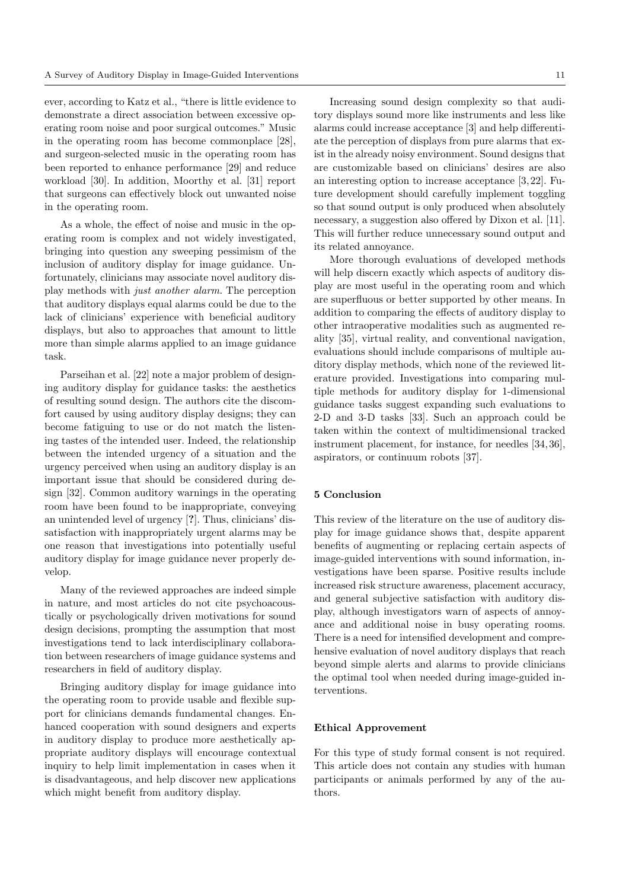ever, according to Katz et al., "there is little evidence to demonstrate a direct association between excessive operating room noise and poor surgical outcomes." Music in the operating room has become commonplace [28], and surgeon-selected music in the operating room has been reported to enhance performance [29] and reduce workload [30]. In addition, Moorthy et al. [31] report that surgeons can effectively block out unwanted noise in the operating room.

As a whole, the effect of noise and music in the operating room is complex and not widely investigated, bringing into question any sweeping pessimism of the inclusion of auditory display for image guidance. Unfortunately, clinicians may associate novel auditory display methods with *just another alarm*. The perception that auditory displays equal alarms could be due to the lack of clinicians' experience with beneficial auditory displays, but also to approaches that amount to little more than simple alarms applied to an image guidance task.

Parseihan et al. [22] note a major problem of designing auditory display for guidance tasks: the aesthetics of resulting sound design. The authors cite the discomfort caused by using auditory display designs; they can become fatiguing to use or do not match the listening tastes of the intended user. Indeed, the relationship between the intended urgency of a situation and the urgency perceived when using an auditory display is an important issue that should be considered during design [32]. Common auditory warnings in the operating room have been found to be inappropriate, conveying an unintended level of urgency [?]. Thus, clinicians' dissatisfaction with inappropriately urgent alarms may be one reason that investigations into potentially useful auditory display for image guidance never properly develop.

Many of the reviewed approaches are indeed simple in nature, and most articles do not cite psychoacoustically or psychologically driven motivations for sound design decisions, prompting the assumption that most investigations tend to lack interdisciplinary collaboration between researchers of image guidance systems and researchers in field of auditory display.

Bringing auditory display for image guidance into the operating room to provide usable and flexible support for clinicians demands fundamental changes. Enhanced cooperation with sound designers and experts in auditory display to produce more aesthetically appropriate auditory displays will encourage contextual inquiry to help limit implementation in cases when it is disadvantageous, and help discover new applications which might benefit from auditory display.

Increasing sound design complexity so that auditory displays sound more like instruments and less like alarms could increase acceptance  $[3]$  and help differentiate the perception of displays from pure alarms that exist in the already noisy environment. Sound designs that

are customizable based on clinicians' desires are also an interesting option to increase acceptance [3, 22]. Future development should carefully implement toggling so that sound output is only produced when absolutely necessary, a suggestion also offered by Dixon et al. [11]. This will further reduce unnecessary sound output and its related annoyance.

More thorough evaluations of developed methods will help discern exactly which aspects of auditory display are most useful in the operating room and which are superfluous or better supported by other means. In addition to comparing the effects of auditory display to other intraoperative modalities such as augmented reality [35], virtual reality, and conventional navigation, evaluations should include comparisons of multiple auditory display methods, which none of the reviewed literature provided. Investigations into comparing multiple methods for auditory display for 1-dimensional guidance tasks suggest expanding such evaluations to 2-D and 3-D tasks [33]. Such an approach could be taken within the context of multidimensional tracked instrument placement, for instance, for needles [34, 36], aspirators, or continuum robots [37].

## 5 Conclusion

This review of the literature on the use of auditory display for image guidance shows that, despite apparent benefits of augmenting or replacing certain aspects of image-guided interventions with sound information, investigations have been sparse. Positive results include increased risk structure awareness, placement accuracy, and general subjective satisfaction with auditory display, although investigators warn of aspects of annoyance and additional noise in busy operating rooms. There is a need for intensified development and comprehensive evaluation of novel auditory displays that reach beyond simple alerts and alarms to provide clinicians the optimal tool when needed during image-guided interventions.

#### Ethical Approvement

For this type of study formal consent is not required. This article does not contain any studies with human participants or animals performed by any of the authors.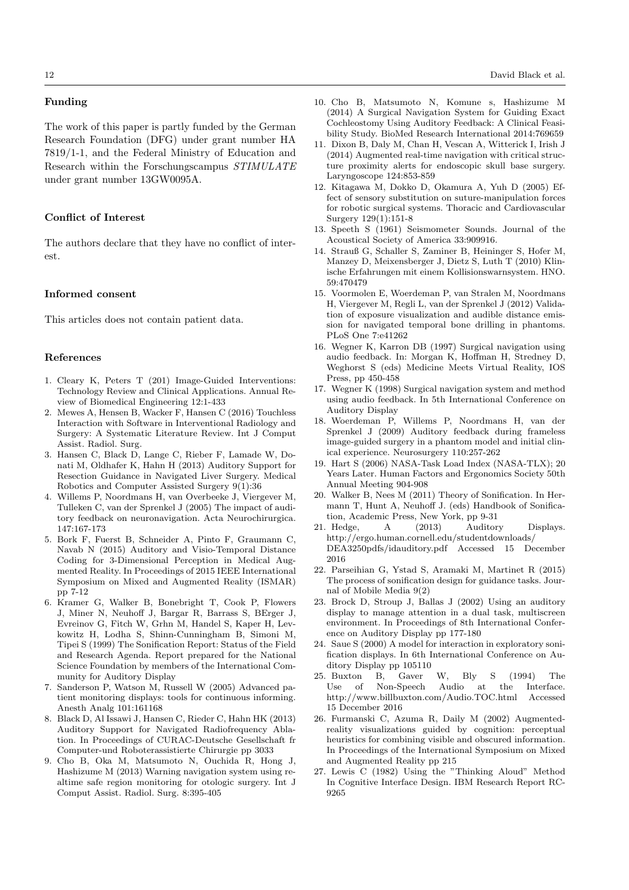## Funding

The work of this paper is partly funded by the German Research Foundation (DFG) under grant number HA 7819/1-1, and the Federal Ministry of Education and Research within the Forschungscampus *STIMULATE* under grant number 13GW0095A.

# Conflict of Interest

The authors declare that they have no conflict of interest.

# Informed consent

This articles does not contain patient data.

#### References

- 1. Cleary K, Peters T (201) Image-Guided Interventions: Technology Review and Clinical Applications. Annual Review of Biomedical Engineering 12:1-433
- 2. Mewes A, Hensen B, Wacker F, Hansen C (2016) Touchless Interaction with Software in Interventional Radiology and Surgery: A Systematic Literature Review. Int J Comput Assist. Radiol. Surg.
- 3. Hansen C, Black D, Lange C, Rieber F, Lamade W, Donati M, Oldhafer K, Hahn H (2013) Auditory Support for Resection Guidance in Navigated Liver Surgery. Medical Robotics and Computer Assisted Surgery 9(1):36
- 4. Willems P, Noordmans H, van Overbeeke J, Viergever M, Tulleken C, van der Sprenkel J (2005) The impact of auditory feedback on neuronavigation. Acta Neurochirurgica. 147:167-173
- 5. Bork F, Fuerst B, Schneider A, Pinto F, Graumann C, Navab N (2015) Auditory and Visio-Temporal Distance Coding for 3-Dimensional Perception in Medical Augmented Reality. In Proceedings of 2015 IEEE International Symposium on Mixed and Augmented Reality (ISMAR) pp 7-12
- 6. Kramer G, Walker B, Bonebright T, Cook P, Flowers J, Miner N, Neuhoff J, Bargar R, Barrass S, BErger J, Evreinov G, Fitch W, Grhn M, Handel S, Kaper H, Levkowitz H, Lodha S, Shinn-Cunningham B, Simoni M, Tipei S (1999) The Sonification Report: Status of the Field and Research Agenda. Report prepared for the National Science Foundation by members of the International Community for Auditory Display
- 7. Sanderson P, Watson M, Russell W (2005) Advanced patient monitoring displays: tools for continuous informing. Anesth Analg 101:161168
- 8. Black D, Al Issawi J, Hansen C, Rieder C, Hahn HK (2013) Auditory Support for Navigated Radiofrequency Ablation. In Proceedings of CURAC-Deutsche Gesellschaft fr Computer-und Roboterassistierte Chirurgie pp 3033
- 9. Cho B, Oka M, Matsumoto N, Ouchida R, Hong J, Hashizume M (2013) Warning navigation system using realtime safe region monitoring for otologic surgery. Int J Comput Assist. Radiol. Surg. 8:395-405
- 10. Cho B, Matsumoto N, Komune s, Hashizume M (2014) A Surgical Navigation System for Guiding Exact Cochleostomy Using Auditory Feedback: A Clinical Feasibility Study. BioMed Research International 2014:769659
- 11. Dixon B, Daly M, Chan H, Vescan A, Witterick I, Irish J (2014) Augmented real-time navigation with critical structure proximity alerts for endoscopic skull base surgery. Laryngoscope 124:853-859
- 12. Kitagawa M, Dokko D, Okamura A, Yuh D (2005) Effect of sensory substitution on suture-manipulation forces for robotic surgical systems. Thoracic and Cardiovascular Surgery 129(1):151-8
- 13. Speeth S (1961) Seismometer Sounds. Journal of the Acoustical Society of America 33:909916.
- 14. Strauß G, Schaller S, Zaminer B, Heininger S, Hofer M, Manzey D, Meixensberger J, Dietz S, Luth T (2010) Klinische Erfahrungen mit einem Kollisionswarnsystem. HNO. 59:470479
- 15. Voormolen E, Woerdeman P, van Stralen M, Noordmans H, Viergever M, Regli L, van der Sprenkel J (2012) Validation of exposure visualization and audible distance emission for navigated temporal bone drilling in phantoms. PLoS One 7:e41262
- 16. Wegner K, Karron DB (1997) Surgical navigation using audio feedback. In: Morgan K, Hoffman H, Stredney D, Weghorst S (eds) Medicine Meets Virtual Reality, IOS Press, pp 450-458
- 17. Wegner K (1998) Surgical navigation system and method using audio feedback. In 5th International Conference on Auditory Display
- 18. Woerdeman P, Willems P, Noordmans H, van der Sprenkel J (2009) Auditory feedback during frameless image-guided surgery in a phantom model and initial clinical experience. Neurosurgery 110:257-262
- 19. Hart S (2006) NASA-Task Load Index (NASA-TLX); 20 Years Later. Human Factors and Ergonomics Society 50th Annual Meeting 904-908
- 20. Walker B, Nees M (2011) Theory of Sonification. In Hermann T, Hunt A, Neuhoff J. (eds) Handbook of Sonification, Academic Press, New York, pp 9-31
- 21. Hedge, A (2013) Auditory Displays. http://ergo.human.cornell.edu/studentdownloads/ DEA3250pdfs/idauditory.pdf Accessed 15 December 2016
- 22. Parseihian G, Ystad S, Aramaki M, Martinet R (2015) The process of sonification design for guidance tasks. Journal of Mobile Media 9(2)
- 23. Brock D, Stroup J, Ballas J (2002) Using an auditory display to manage attention in a dual task, multiscreen environment. In Proceedings of 8th International Conference on Auditory Display pp 177-180
- 24. Saue S (2000) A model for interaction in exploratory sonification displays. In 6th International Conference on Auditory Display pp 105110
- 25. Buxton B, Gaver W, Bly S (1994) The Use of Non-Speech Audio at the Interface. http://www.billbuxton.com/Audio.TOC.html Accessed 15 December 2016
- 26. Furmanski C, Azuma R, Daily M (2002) Augmentedreality visualizations guided by cognition: perceptual heuristics for combining visible and obscured information. In Proceedings of the International Symposium on Mixed and Augmented Reality pp 215
- 27. Lewis C (1982) Using the "Thinking Aloud" Method In Cognitive Interface Design. IBM Research Report RC-9265